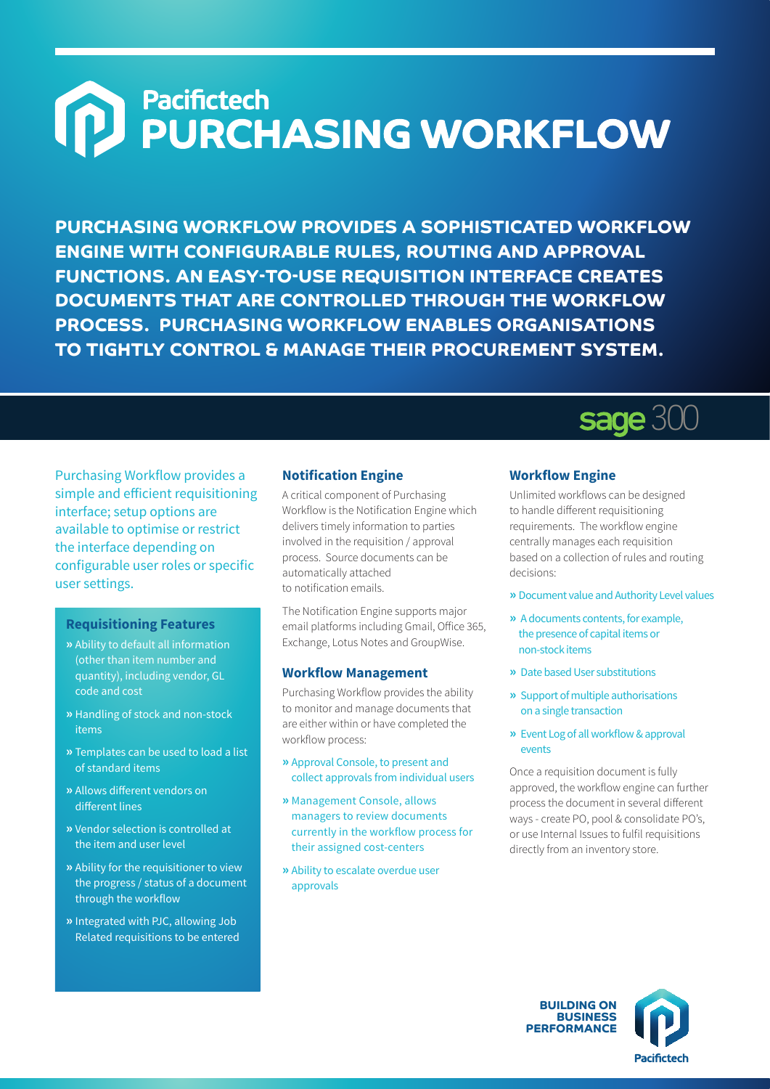# **MEDIPARTERS**<br>
PURCHASING WORKFLOW

**PURCHASING WORKFLOW PROVIDES A SOPHISTICATED WORKFLOW ENGINE WITH CONFIGURABLE RULES, ROUTING AND APPROVAL FUNCTIONS. AN EASY-TO-USE REQUISITION INTERFACE CREATES DOCUMENTS THAT ARE CONTROLLED THROUGH THE WORKFLOW PROCESS. PURCHASING WORKFLOW ENABLES ORGANISATIONS TO TIGHTLY CONTROL & MANAGE THEIR PROCUREMENT SYSTEM.**

Purchasing Workflow provides a simple and efficient requisitioning interface; setup options are available to optimise or restrict the interface depending on configurable user roles or specific user settings.

#### **Requisitioning Features**

- **»** Ability to default all information (other than item number and quantity), including vendor, GL code and cost
- **»** Handling of stock and non-stock items
- **»** Templates can be used to load a list of standard items
- **»** Allows different vendors on different lines
- **»** Vendor selection is controlled at the item and user level
- **»** Ability for the requisitioner to view the progress / status of a document through the workflow
- **»** Integrated with PJC, allowing Job Related requisitions to be entered

#### **Notification Engine**

A critical component of Purchasing Workflow is the Notification Engine which delivers timely information to parties involved in the requisition / approval process. Source documents can be automatically attached to notification emails.

The Notification Engine supports major email platforms including Gmail, Office 365, Exchange, Lotus Notes and GroupWise.

#### **Workflow Management**

Purchasing Workflow provides the ability to monitor and manage documents that are either within or have completed the workflow process:

- **»** Approval Console, to present and collect approvals from individual users
- **»** Management Console, allows managers to review documents currently in the workflow process for their assigned cost-centers
- **»** Ability to escalate overdue user approvals

# **Workflow Engine**

**sage 300** 

Unlimited workflows can be designed to handle different requisitioning requirements. The workflow engine centrally manages each requisition based on a collection of rules and routing decisions:

- **»** Document value and Authority Level values
- **»** A documents contents, for example, the presence of capital items or non-stock items
- **»** Date based User substitutions
- **»** Support of multiple authorisations on a single transaction
- **»** Event Log of all workflow & approval events

Once a requisition document is fully approved, the workflow engine can further process the document in several different ways - create PO, pool & consolidate PO's, or use Internal Issues to fulfil requisitions directly from an inventory store.